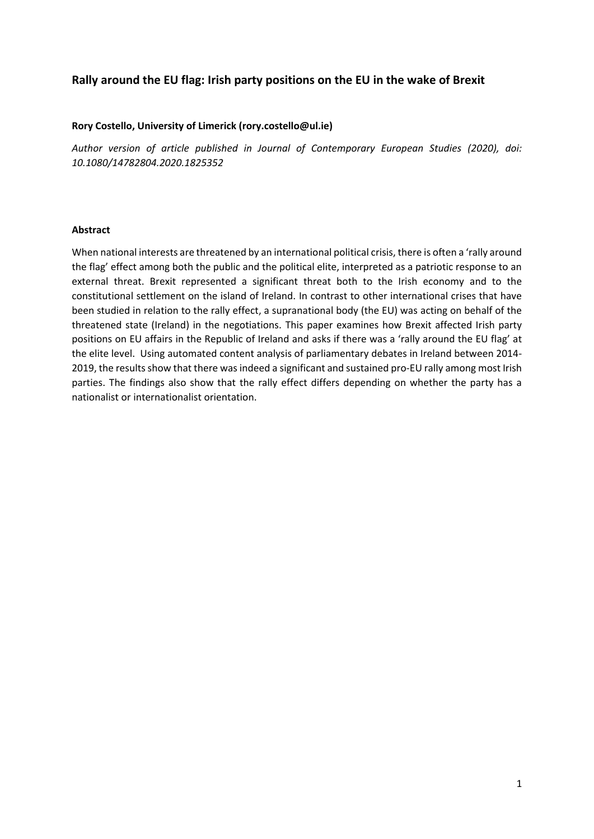# **Rally around the EU flag: Irish party positions on the EU in the wake of Brexit**

## **Rory Costello, University of Limerick (rory.costello@ul.ie)**

*Author version of article published in Journal of Contemporary European Studies (2020), doi: 10.1080/14782804.2020.1825352*

### **Abstract**

When national interests are threatened by an international political crisis, there is often a 'rally around the flag' effect among both the public and the political elite, interpreted as a patriotic response to an external threat. Brexit represented a significant threat both to the Irish economy and to the constitutional settlement on the island of Ireland. In contrast to other international crises that have been studied in relation to the rally effect, a supranational body (the EU) was acting on behalf of the threatened state (Ireland) in the negotiations. This paper examines how Brexit affected Irish party positions on EU affairs in the Republic of Ireland and asks if there was a 'rally around the EU flag' at the elite level. Using automated content analysis of parliamentary debates in Ireland between 2014- 2019, the results show that there was indeed a significant and sustained pro-EU rally among most Irish parties. The findings also show that the rally effect differs depending on whether the party has a nationalist or internationalist orientation.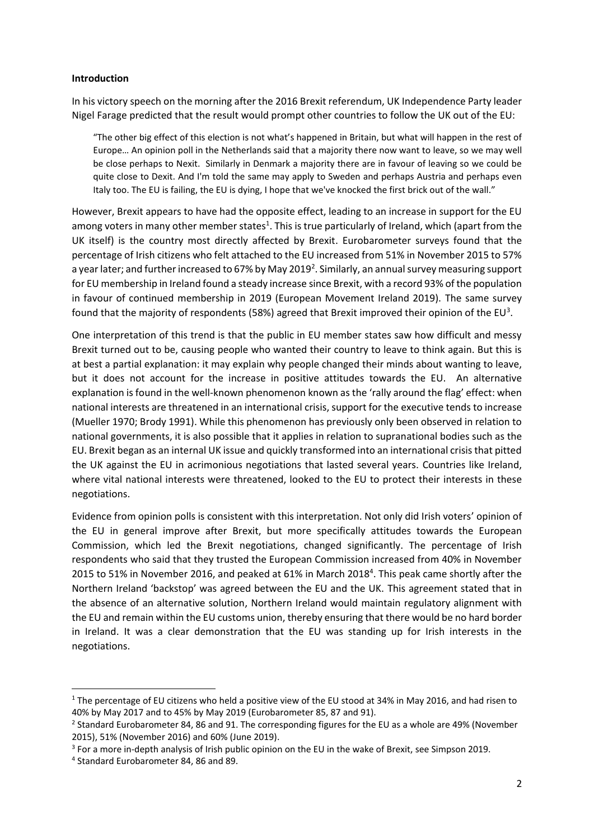## **Introduction**

In his victory speech on the morning after the 2016 Brexit referendum, UK Independence Party leader Nigel Farage predicted that the result would prompt other countries to follow the UK out of the EU:

"The other big effect of this election is not what's happened in Britain, but what will happen in the rest of Europe… An opinion poll in the Netherlands said that a majority there now want to leave, so we may well be close perhaps to Nexit. Similarly in Denmark a majority there are in favour of leaving so we could be quite close to Dexit. And I'm told the same may apply to Sweden and perhaps Austria and perhaps even Italy too. The EU is failing, the EU is dying, I hope that we've knocked the first brick out of the wall."

However, Brexit appears to have had the opposite effect, leading to an increase in support for the EU among voters in many other member states<sup>1</sup>. This is true particularly of Ireland, which (apart from the UK itself) is the country most directly affected by Brexit. Eurobarometer surveys found that the percentage of Irish citizens who felt attached to the EU increased from 51% in November 2015 to 57% a year later; and further increased to 67% by May 2019<sup>2</sup>. Similarly, an annual survey measuring support for EU membership in Ireland found a steady increase since Brexit, with a record 93% of the population in favour of continued membership in 2019 (European Movement Ireland 2019). The same survey found that the majority of respondents (58%) agreed that Brexit improved their opinion of the EU<sup>3</sup>.

One interpretation of this trend is that the public in EU member states saw how difficult and messy Brexit turned out to be, causing people who wanted their country to leave to think again. But this is at best a partial explanation: it may explain why people changed their minds about wanting to leave, but it does not account for the increase in positive attitudes towards the EU. An alternative explanation is found in the well-known phenomenon known as the 'rally around the flag' effect: when national interests are threatened in an international crisis, support for the executive tends to increase (Mueller 1970; Brody 1991). While this phenomenon has previously only been observed in relation to national governments, it is also possible that it applies in relation to supranational bodies such as the EU. Brexit began as an internal UK issue and quickly transformed into an international crisis that pitted the UK against the EU in acrimonious negotiations that lasted several years. Countries like Ireland, where vital national interests were threatened, looked to the EU to protect their interests in these negotiations.

Evidence from opinion polls is consistent with this interpretation. Not only did Irish voters' opinion of the EU in general improve after Brexit, but more specifically attitudes towards the European Commission, which led the Brexit negotiations, changed significantly. The percentage of Irish respondents who said that they trusted the European Commission increased from 40% in November 2015 to 51% in November 2016, and peaked at 61% in March 2018<sup>4</sup>. This peak came shortly after the Northern Ireland 'backstop' was agreed between the EU and the UK. This agreement stated that in the absence of an alternative solution, Northern Ireland would maintain regulatory alignment with the EU and remain within the EU customs union, thereby ensuring that there would be no hard border in Ireland. It was a clear demonstration that the EU was standing up for Irish interests in the negotiations.

1

<sup>&</sup>lt;sup>1</sup> The percentage of EU citizens who held a positive view of the EU stood at 34% in May 2016, and had risen to 40% by May 2017 and to 45% by May 2019 (Eurobarometer 85, 87 and 91).

<sup>&</sup>lt;sup>2</sup> Standard Eurobarometer 84, 86 and 91. The corresponding figures for the EU as a whole are 49% (November 2015), 51% (November 2016) and 60% (June 2019).

<sup>3</sup> For a more in-depth analysis of Irish public opinion on the EU in the wake of Brexit, see Simpson 2019.

<sup>4</sup> Standard Eurobarometer 84, 86 and 89.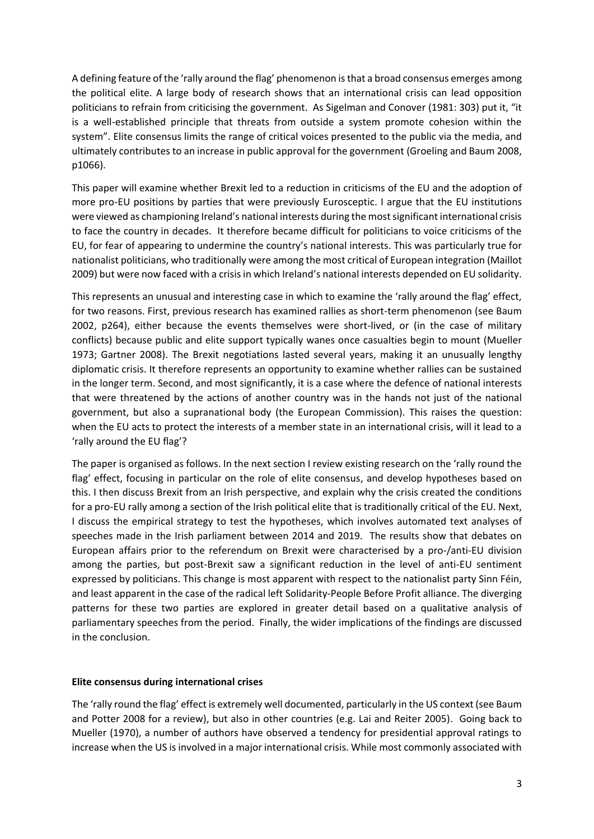A defining feature of the 'rally around the flag' phenomenon is that a broad consensus emerges among the political elite. A large body of research shows that an international crisis can lead opposition politicians to refrain from criticising the government. As Sigelman and Conover (1981: 303) put it, "it is a well-established principle that threats from outside a system promote cohesion within the system". Elite consensus limits the range of critical voices presented to the public via the media, and ultimately contributes to an increase in public approval for the government (Groeling and Baum 2008, p1066).

This paper will examine whether Brexit led to a reduction in criticisms of the EU and the adoption of more pro-EU positions by parties that were previously Eurosceptic. I argue that the EU institutions were viewed as championing Ireland's national interests during the most significant international crisis to face the country in decades. It therefore became difficult for politicians to voice criticisms of the EU, for fear of appearing to undermine the country's national interests. This was particularly true for nationalist politicians, who traditionally were among the most critical of European integration (Maillot 2009) but were now faced with a crisis in which Ireland's national interests depended on EU solidarity.

This represents an unusual and interesting case in which to examine the 'rally around the flag' effect, for two reasons. First, previous research has examined rallies as short-term phenomenon (see Baum 2002, p264), either because the events themselves were short-lived, or (in the case of military conflicts) because public and elite support typically wanes once casualties begin to mount (Mueller 1973; Gartner 2008). The Brexit negotiations lasted several years, making it an unusually lengthy diplomatic crisis. It therefore represents an opportunity to examine whether rallies can be sustained in the longer term. Second, and most significantly, it is a case where the defence of national interests that were threatened by the actions of another country was in the hands not just of the national government, but also a supranational body (the European Commission). This raises the question: when the EU acts to protect the interests of a member state in an international crisis, will it lead to a 'rally around the EU flag'?

The paper is organised as follows. In the next section I review existing research on the 'rally round the flag' effect, focusing in particular on the role of elite consensus, and develop hypotheses based on this. I then discuss Brexit from an Irish perspective, and explain why the crisis created the conditions for a pro-EU rally among a section of the Irish political elite that is traditionally critical of the EU. Next, I discuss the empirical strategy to test the hypotheses, which involves automated text analyses of speeches made in the Irish parliament between 2014 and 2019. The results show that debates on European affairs prior to the referendum on Brexit were characterised by a pro-/anti-EU division among the parties, but post-Brexit saw a significant reduction in the level of anti-EU sentiment expressed by politicians. This change is most apparent with respect to the nationalist party Sinn Féin, and least apparent in the case of the radical left Solidarity-People Before Profit alliance. The diverging patterns for these two parties are explored in greater detail based on a qualitative analysis of parliamentary speeches from the period. Finally, the wider implications of the findings are discussed in the conclusion.

### **Elite consensus during international crises**

The 'rally round the flag' effect is extremely well documented, particularly in the US context (see Baum and Potter 2008 for a review), but also in other countries (e.g. Lai and Reiter 2005). Going back to Mueller (1970), a number of authors have observed a tendency for presidential approval ratings to increase when the US isinvolved in a major international crisis. While most commonly associated with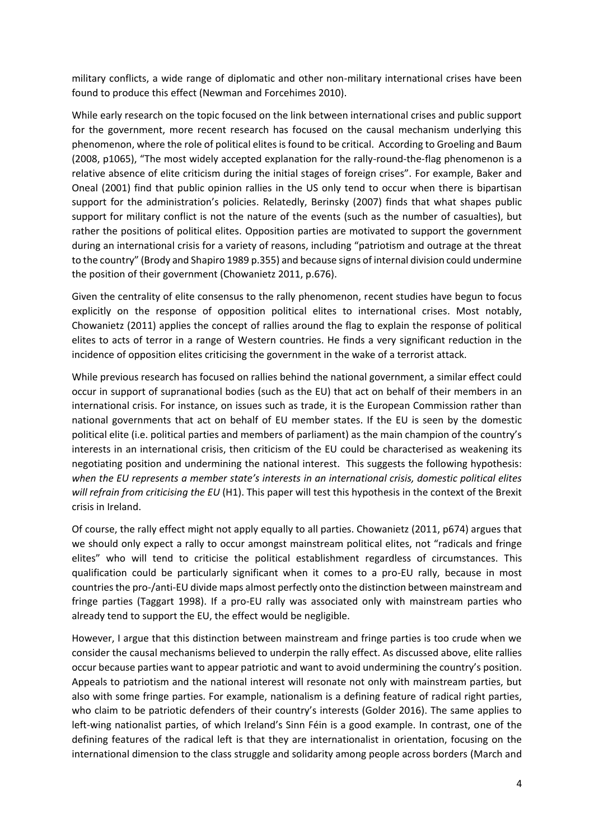military conflicts, a wide range of diplomatic and other non-military international crises have been found to produce this effect (Newman and Forcehimes 2010).

While early research on the topic focused on the link between international crises and public support for the government, more recent research has focused on the causal mechanism underlying this phenomenon, where the role of political elites is found to be critical. According to Groeling and Baum (2008, p1065), "The most widely accepted explanation for the rally-round-the-flag phenomenon is a relative absence of elite criticism during the initial stages of foreign crises". For example, Baker and Oneal (2001) find that public opinion rallies in the US only tend to occur when there is bipartisan support for the administration's policies. Relatedly, Berinsky (2007) finds that what shapes public support for military conflict is not the nature of the events (such as the number of casualties), but rather the positions of political elites. Opposition parties are motivated to support the government during an international crisis for a variety of reasons, including "patriotism and outrage at the threat to the country" (Brody and Shapiro 1989 p.355) and because signs of internal division could undermine the position of their government (Chowanietz 2011, p.676).

Given the centrality of elite consensus to the rally phenomenon, recent studies have begun to focus explicitly on the response of opposition political elites to international crises. Most notably, Chowanietz (2011) applies the concept of rallies around the flag to explain the response of political elites to acts of terror in a range of Western countries. He finds a very significant reduction in the incidence of opposition elites criticising the government in the wake of a terrorist attack.

While previous research has focused on rallies behind the national government, a similar effect could occur in support of supranational bodies (such as the EU) that act on behalf of their members in an international crisis. For instance, on issues such as trade, it is the European Commission rather than national governments that act on behalf of EU member states. If the EU is seen by the domestic political elite (i.e. political parties and members of parliament) as the main champion of the country's interests in an international crisis, then criticism of the EU could be characterised as weakening its negotiating position and undermining the national interest. This suggests the following hypothesis: *when the EU represents a member state's interests in an international crisis, domestic political elites will refrain from criticising the EU* (H1). This paper will test this hypothesis in the context of the Brexit crisis in Ireland.

Of course, the rally effect might not apply equally to all parties. Chowanietz (2011, p674) argues that we should only expect a rally to occur amongst mainstream political elites, not "radicals and fringe elites" who will tend to criticise the political establishment regardless of circumstances. This qualification could be particularly significant when it comes to a pro-EU rally, because in most countries the pro-/anti-EU divide maps almost perfectly onto the distinction between mainstream and fringe parties (Taggart 1998). If a pro-EU rally was associated only with mainstream parties who already tend to support the EU, the effect would be negligible.

However, I argue that this distinction between mainstream and fringe parties is too crude when we consider the causal mechanisms believed to underpin the rally effect. As discussed above, elite rallies occur because parties want to appear patriotic and want to avoid undermining the country's position. Appeals to patriotism and the national interest will resonate not only with mainstream parties, but also with some fringe parties. For example, nationalism is a defining feature of radical right parties, who claim to be patriotic defenders of their country's interests (Golder 2016). The same applies to left-wing nationalist parties, of which Ireland's Sinn Féin is a good example. In contrast, one of the defining features of the radical left is that they are internationalist in orientation, focusing on the international dimension to the class struggle and solidarity among people across borders (March and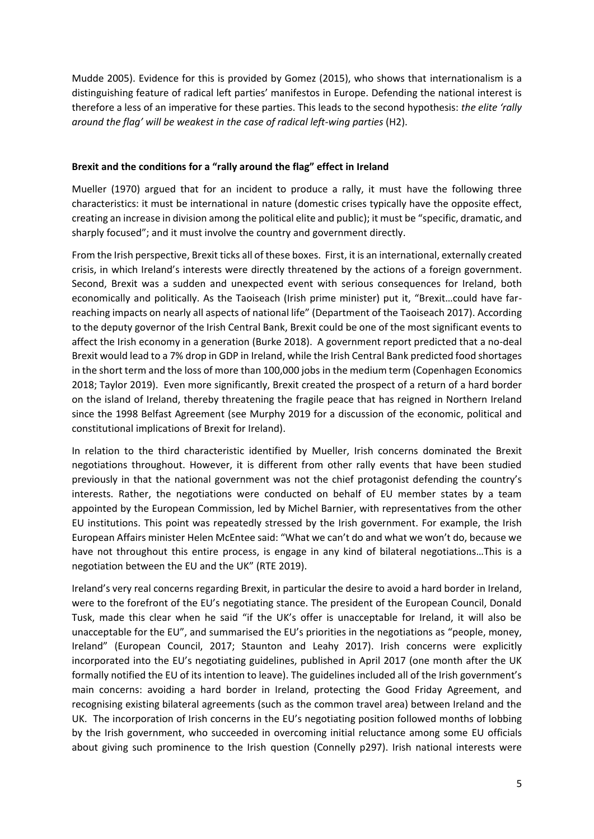Mudde 2005). Evidence for this is provided by Gomez (2015), who shows that internationalism is a distinguishing feature of radical left parties' manifestos in Europe. Defending the national interest is therefore a less of an imperative for these parties. This leads to the second hypothesis: *the elite 'rally around the flag' will be weakest in the case of radical left-wing parties* (H2).

# **Brexit and the conditions for a "rally around the flag" effect in Ireland**

Mueller (1970) argued that for an incident to produce a rally, it must have the following three characteristics: it must be international in nature (domestic crises typically have the opposite effect, creating an increase in division among the political elite and public); it must be "specific, dramatic, and sharply focused"; and it must involve the country and government directly.

From the Irish perspective, Brexit ticks all of these boxes. First, it is an international, externally created crisis, in which Ireland's interests were directly threatened by the actions of a foreign government. Second, Brexit was a sudden and unexpected event with serious consequences for Ireland, both economically and politically. As the Taoiseach (Irish prime minister) put it, "Brexit…could have farreaching impacts on nearly all aspects of national life" (Department of the Taoiseach 2017). According to the deputy governor of the Irish Central Bank, Brexit could be one of the most significant events to affect the Irish economy in a generation (Burke 2018). A government report predicted that a no-deal Brexit would lead to a 7% drop in GDP in Ireland, while the Irish Central Bank predicted food shortages in the short term and the loss of more than 100,000 jobs in the medium term (Copenhagen Economics 2018; Taylor 2019). Even more significantly, Brexit created the prospect of a return of a hard border on the island of Ireland, thereby threatening the fragile peace that has reigned in Northern Ireland since the 1998 Belfast Agreement (see Murphy 2019 for a discussion of the economic, political and constitutional implications of Brexit for Ireland).

In relation to the third characteristic identified by Mueller, Irish concerns dominated the Brexit negotiations throughout. However, it is different from other rally events that have been studied previously in that the national government was not the chief protagonist defending the country's interests. Rather, the negotiations were conducted on behalf of EU member states by a team appointed by the European Commission, led by Michel Barnier, with representatives from the other EU institutions. This point was repeatedly stressed by the Irish government. For example, the Irish European Affairs minister Helen McEntee said: "What we can't do and what we won't do, because we have not throughout this entire process, is engage in any kind of bilateral negotiations…This is a negotiation between the EU and the UK" (RTE 2019).

Ireland's very real concerns regarding Brexit, in particular the desire to avoid a hard border in Ireland, were to the forefront of the EU's negotiating stance. The president of the European Council, Donald Tusk, made this clear when he said "if the UK's offer is unacceptable for Ireland, it will also be unacceptable for the EU", and summarised the EU's priorities in the negotiations as "people, money, Ireland" (European Council, 2017; Staunton and Leahy 2017). Irish concerns were explicitly incorporated into the EU's negotiating guidelines, published in April 2017 (one month after the UK formally notified the EU of its intention to leave). The guidelines included all of the Irish government's main concerns: avoiding a hard border in Ireland, protecting the Good Friday Agreement, and recognising existing bilateral agreements (such as the common travel area) between Ireland and the UK. The incorporation of Irish concerns in the EU's negotiating position followed months of lobbing by the Irish government, who succeeded in overcoming initial reluctance among some EU officials about giving such prominence to the Irish question (Connelly p297). Irish national interests were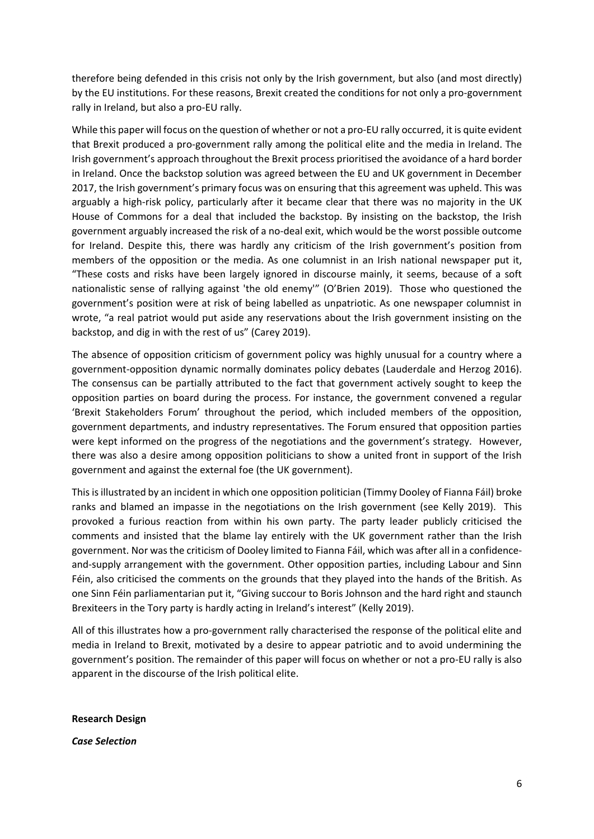therefore being defended in this crisis not only by the Irish government, but also (and most directly) by the EU institutions. For these reasons, Brexit created the conditions for not only a pro-government rally in Ireland, but also a pro-EU rally.

While this paper will focus on the question of whether or not a pro-EU rally occurred, it is quite evident that Brexit produced a pro-government rally among the political elite and the media in Ireland. The Irish government's approach throughout the Brexit process prioritised the avoidance of a hard border in Ireland. Once the backstop solution was agreed between the EU and UK government in December 2017, the Irish government's primary focus was on ensuring that this agreement was upheld. This was arguably a high-risk policy, particularly after it became clear that there was no majority in the UK House of Commons for a deal that included the backstop. By insisting on the backstop, the Irish government arguably increased the risk of a no-deal exit, which would be the worst possible outcome for Ireland. Despite this, there was hardly any criticism of the Irish government's position from members of the opposition or the media. As one columnist in an Irish national newspaper put it, "These costs and risks have been largely ignored in discourse mainly, it seems, because of a soft nationalistic sense of rallying against 'the old enemy'" (O'Brien 2019). Those who questioned the government's position were at risk of being labelled as unpatriotic. As one newspaper columnist in wrote, "a real patriot would put aside any reservations about the Irish government insisting on the backstop, and dig in with the rest of us" (Carey 2019).

The absence of opposition criticism of government policy was highly unusual for a country where a government-opposition dynamic normally dominates policy debates (Lauderdale and Herzog 2016). The consensus can be partially attributed to the fact that government actively sought to keep the opposition parties on board during the process. For instance, the government convened a regular 'Brexit Stakeholders Forum' throughout the period, which included members of the opposition, government departments, and industry representatives. The Forum ensured that opposition parties were kept informed on the progress of the negotiations and the government's strategy. However, there was also a desire among opposition politicians to show a united front in support of the Irish government and against the external foe (the UK government).

This is illustrated by an incident in which one opposition politician (Timmy Dooley of Fianna Fáil) broke ranks and blamed an impasse in the negotiations on the Irish government (see Kelly 2019). This provoked a furious reaction from within his own party. The party leader publicly criticised the comments and insisted that the blame lay entirely with the UK government rather than the Irish government. Nor was the criticism of Dooley limited to Fianna Fáil, which was after all in a confidenceand-supply arrangement with the government. Other opposition parties, including Labour and Sinn Féin, also criticised the comments on the grounds that they played into the hands of the British. As one Sinn Féin parliamentarian put it, "Giving succour to Boris Johnson and the hard right and staunch Brexiteers in the Tory party is hardly acting in Ireland's interest" (Kelly 2019).

All of this illustrates how a pro-government rally characterised the response of the political elite and media in Ireland to Brexit, motivated by a desire to appear patriotic and to avoid undermining the government's position. The remainder of this paper will focus on whether or not a pro-EU rally is also apparent in the discourse of the Irish political elite.

**Research Design**

*Case Selection*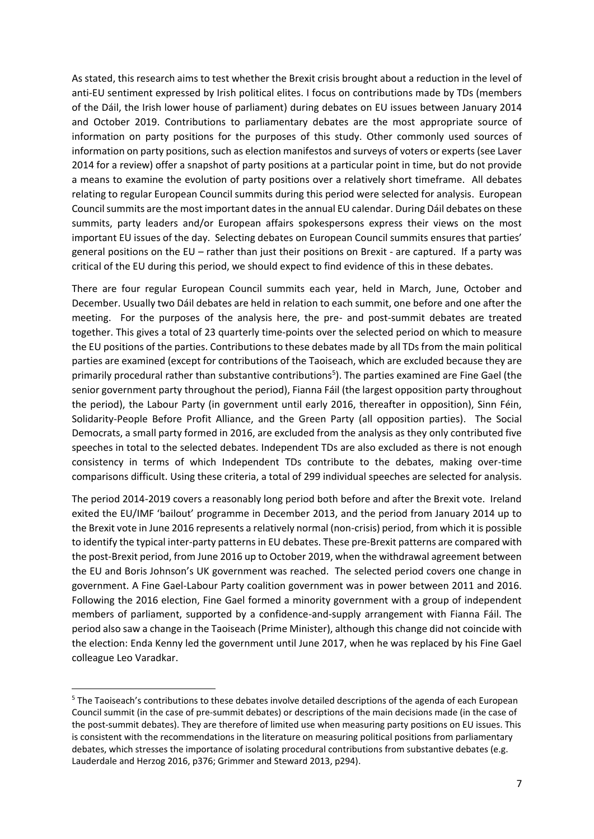As stated, this research aims to test whether the Brexit crisis brought about a reduction in the level of anti-EU sentiment expressed by Irish political elites. I focus on contributions made by TDs (members of the Dáil, the Irish lower house of parliament) during debates on EU issues between January 2014 and October 2019. Contributions to parliamentary debates are the most appropriate source of information on party positions for the purposes of this study. Other commonly used sources of information on party positions, such as election manifestos and surveys of voters or experts (see Laver 2014 for a review) offer a snapshot of party positions at a particular point in time, but do not provide a means to examine the evolution of party positions over a relatively short timeframe. All debates relating to regular European Council summits during this period were selected for analysis. European Council summits are the most important dates in the annual EU calendar. During Dáil debates on these summits, party leaders and/or European affairs spokespersons express their views on the most important EU issues of the day. Selecting debates on European Council summits ensures that parties' general positions on the EU – rather than just their positions on Brexit - are captured. If a party was critical of the EU during this period, we should expect to find evidence of this in these debates.

There are four regular European Council summits each year, held in March, June, October and December. Usually two Dáil debates are held in relation to each summit, one before and one after the meeting. For the purposes of the analysis here, the pre- and post-summit debates are treated together. This gives a total of 23 quarterly time-points over the selected period on which to measure the EU positions of the parties. Contributions to these debates made by all TDs from the main political parties are examined (except for contributions of the Taoiseach, which are excluded because they are primarily procedural rather than substantive contributions<sup>5</sup>). The parties examined are Fine Gael (the senior government party throughout the period), Fianna Fáil (the largest opposition party throughout the period), the Labour Party (in government until early 2016, thereafter in opposition), Sinn Féin, Solidarity-People Before Profit Alliance, and the Green Party (all opposition parties). The Social Democrats, a small party formed in 2016, are excluded from the analysis as they only contributed five speeches in total to the selected debates. Independent TDs are also excluded as there is not enough consistency in terms of which Independent TDs contribute to the debates, making over-time comparisons difficult. Using these criteria, a total of 299 individual speeches are selected for analysis.

The period 2014-2019 covers a reasonably long period both before and after the Brexit vote. Ireland exited the EU/IMF 'bailout' programme in December 2013, and the period from January 2014 up to the Brexit vote in June 2016 represents a relatively normal (non-crisis) period, from which it is possible to identify the typical inter-party patterns in EU debates. These pre-Brexit patterns are compared with the post-Brexit period, from June 2016 up to October 2019, when the withdrawal agreement between the EU and Boris Johnson's UK government was reached. The selected period covers one change in government. A Fine Gael-Labour Party coalition government was in power between 2011 and 2016. Following the 2016 election, Fine Gael formed a minority government with a group of independent members of parliament, supported by a confidence-and-supply arrangement with Fianna Fáil. The period also saw a change in the Taoiseach (Prime Minister), although this change did not coincide with the election: Enda Kenny led the government until June 2017, when he was replaced by his Fine Gael colleague Leo Varadkar.

1

<sup>&</sup>lt;sup>5</sup> The Taoiseach's contributions to these debates involve detailed descriptions of the agenda of each European Council summit (in the case of pre-summit debates) or descriptions of the main decisions made (in the case of the post-summit debates). They are therefore of limited use when measuring party positions on EU issues. This is consistent with the recommendations in the literature on measuring political positions from parliamentary debates, which stresses the importance of isolating procedural contributions from substantive debates (e.g. Lauderdale and Herzog 2016, p376; Grimmer and Steward 2013, p294).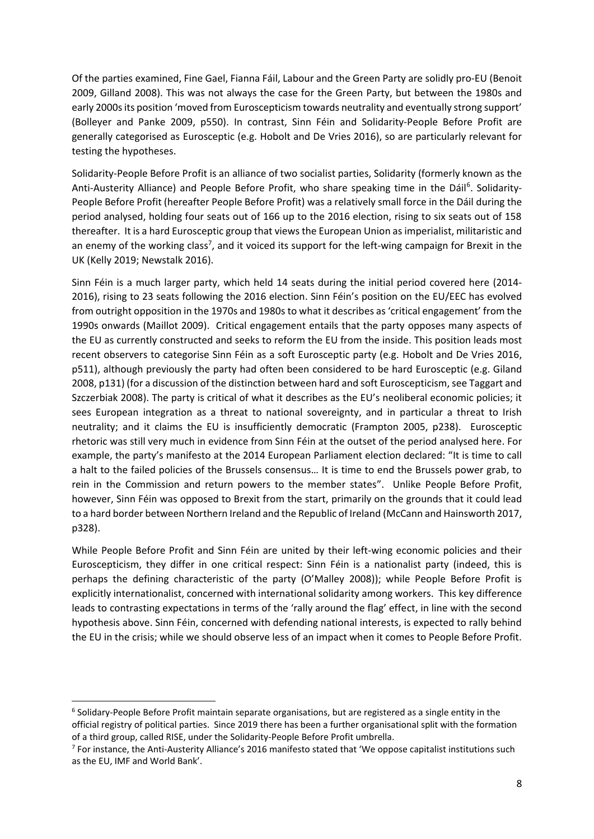Of the parties examined, Fine Gael, Fianna Fáil, Labour and the Green Party are solidly pro-EU (Benoit 2009, Gilland 2008). This was not always the case for the Green Party, but between the 1980s and early 2000s its position 'moved from Euroscepticism towards neutrality and eventually strong support' (Bolleyer and Panke 2009, p550). In contrast, Sinn Féin and Solidarity-People Before Profit are generally categorised as Eurosceptic (e.g. Hobolt and De Vries 2016), so are particularly relevant for testing the hypotheses.

Solidarity-People Before Profit is an alliance of two socialist parties, Solidarity (formerly known as the Anti-Austerity Alliance) and People Before Profit, who share speaking time in the Dáil<sup>6</sup>. Solidarity-People Before Profit (hereafter People Before Profit) was a relatively small force in the Dáil during the period analysed, holding four seats out of 166 up to the 2016 election, rising to six seats out of 158 thereafter. It is a hard Eurosceptic group that views the European Union as imperialist, militaristic and an enemy of the working class<sup>7</sup>, and it voiced its support for the left-wing campaign for Brexit in the UK (Kelly 2019; Newstalk 2016).

Sinn Féin is a much larger party, which held 14 seats during the initial period covered here (2014- 2016), rising to 23 seats following the 2016 election. Sinn Féin's position on the EU/EEC has evolved from outright opposition in the 1970s and 1980s to what it describes as 'critical engagement' from the 1990s onwards (Maillot 2009). Critical engagement entails that the party opposes many aspects of the EU as currently constructed and seeks to reform the EU from the inside. This position leads most recent observers to categorise Sinn Féin as a soft Eurosceptic party (e.g. Hobolt and De Vries 2016, p511), although previously the party had often been considered to be hard Eurosceptic (e.g. Giland 2008, p131) (for a discussion of the distinction between hard and soft Euroscepticism, see Taggart and Szczerbiak 2008). The party is critical of what it describes as the EU's neoliberal economic policies; it sees European integration as a threat to national sovereignty, and in particular a threat to Irish neutrality; and it claims the EU is insufficiently democratic (Frampton 2005, p238). Eurosceptic rhetoric was still very much in evidence from Sinn Féin at the outset of the period analysed here. For example, the party's manifesto at the 2014 European Parliament election declared: "It is time to call a halt to the failed policies of the Brussels consensus… It is time to end the Brussels power grab, to rein in the Commission and return powers to the member states". Unlike People Before Profit, however, Sinn Féin was opposed to Brexit from the start, primarily on the grounds that it could lead to a hard border between Northern Ireland and the Republic of Ireland (McCann and Hainsworth 2017, p328).

While People Before Profit and Sinn Féin are united by their left-wing economic policies and their Euroscepticism, they differ in one critical respect: Sinn Féin is a nationalist party (indeed, this is perhaps the defining characteristic of the party (O'Malley 2008)); while People Before Profit is explicitly internationalist, concerned with international solidarity among workers. This key difference leads to contrasting expectations in terms of the 'rally around the flag' effect, in line with the second hypothesis above. Sinn Féin, concerned with defending national interests, is expected to rally behind the EU in the crisis; while we should observe less of an impact when it comes to People Before Profit.

**.** 

<sup>&</sup>lt;sup>6</sup> Solidary-People Before Profit maintain separate organisations, but are registered as a single entity in the official registry of political parties. Since 2019 there has been a further organisational split with the formation of a third group, called RISE, under the Solidarity-People Before Profit umbrella.

<sup>&</sup>lt;sup>7</sup> For instance, the Anti-Austerity Alliance's 2016 manifesto stated that 'We oppose capitalist institutions such as the EU, IMF and World Bank'.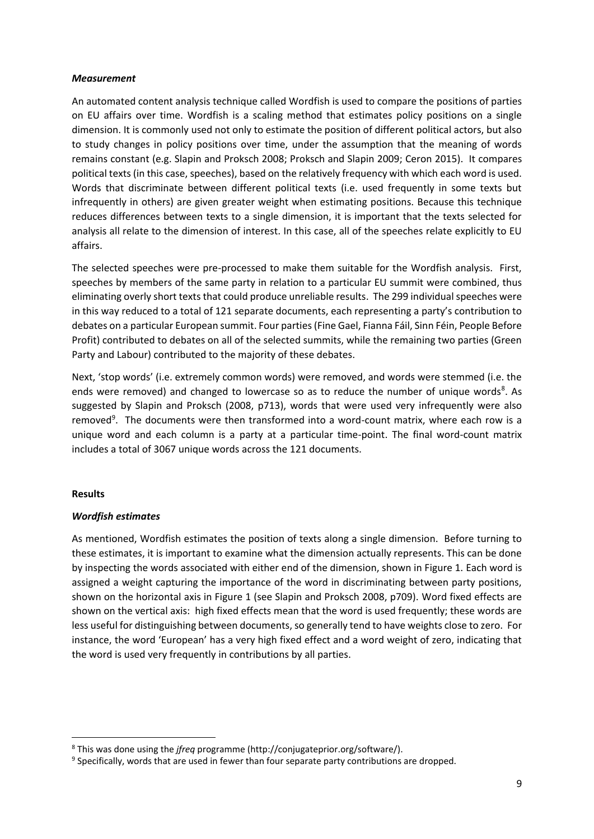## *Measurement*

An automated content analysis technique called Wordfish is used to compare the positions of parties on EU affairs over time. Wordfish is a scaling method that estimates policy positions on a single dimension. It is commonly used not only to estimate the position of different political actors, but also to study changes in policy positions over time, under the assumption that the meaning of words remains constant (e.g. Slapin and Proksch 2008; Proksch and Slapin 2009; Ceron 2015). It compares political texts (in this case, speeches), based on the relatively frequency with which each word is used. Words that discriminate between different political texts (i.e. used frequently in some texts but infrequently in others) are given greater weight when estimating positions. Because this technique reduces differences between texts to a single dimension, it is important that the texts selected for analysis all relate to the dimension of interest. In this case, all of the speeches relate explicitly to EU affairs.

The selected speeches were pre-processed to make them suitable for the Wordfish analysis. First, speeches by members of the same party in relation to a particular EU summit were combined, thus eliminating overly short texts that could produce unreliable results. The 299 individual speeches were in this way reduced to a total of 121 separate documents, each representing a party's contribution to debates on a particular European summit. Four parties (Fine Gael, Fianna Fáil, Sinn Féin, People Before Profit) contributed to debates on all of the selected summits, while the remaining two parties (Green Party and Labour) contributed to the majority of these debates.

Next, 'stop words' (i.e. extremely common words) were removed, and words were stemmed (i.e. the ends were removed) and changed to lowercase so as to reduce the number of unique words<sup>8</sup>. As suggested by Slapin and Proksch (2008, p713), words that were used very infrequently were also removed<sup>9</sup>. The documents were then transformed into a word-count matrix, where each row is a unique word and each column is a party at a particular time-point. The final word-count matrix includes a total of 3067 unique words across the 121 documents.

# **Results**

# *Wordfish estimates*

As mentioned, Wordfish estimates the position of texts along a single dimension. Before turning to these estimates, it is important to examine what the dimension actually represents. This can be done by inspecting the words associated with either end of the dimension, shown in Figure 1. Each word is assigned a weight capturing the importance of the word in discriminating between party positions, shown on the horizontal axis in Figure 1 (see Slapin and Proksch 2008, p709). Word fixed effects are shown on the vertical axis: high fixed effects mean that the word is used frequently; these words are less useful for distinguishing between documents, so generally tend to have weights close to zero. For instance, the word 'European' has a very high fixed effect and a word weight of zero, indicating that the word is used very frequently in contributions by all parties.

**<sup>.</sup>** <sup>8</sup> This was done using the *jfreq* programme (http://conjugateprior.org/software/).

<sup>&</sup>lt;sup>9</sup> Specifically, words that are used in fewer than four separate party contributions are dropped.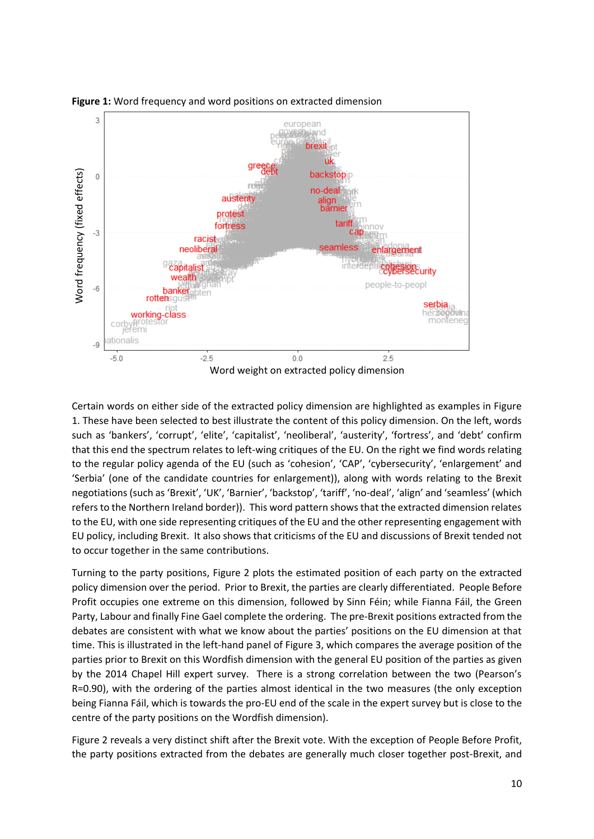



Certain words on either side of the extracted policy dimension are highlighted as examples in Figure 1. These have been selected to best illustrate the content of this policy dimension. On the left, words such as 'bankers', 'corrupt', 'elite', 'capitalist', 'neoliberal', 'austerity', 'fortress', and 'debt' confirm that this end the spectrum relates to left-wing critiques of the EU. On the right we find words relating to the regular policy agenda of the EU (such as 'cohesion', 'CAP', 'cybersecurity', 'enlargement' and 'Serbia' (one of the candidate countries for enlargement)), along with words relating to the Brexit negotiations (such as 'Brexit', 'UK', 'Barnier', 'backstop', 'tariff', 'no-deal', 'align' and 'seamless' (which refers to the Northern Ireland border)). This word pattern shows that the extracted dimension relates to the EU, with one side representing critiques of the EU and the other representing engagement with EU policy, including Brexit. It also shows that criticisms of the EU and discussions of Brexit tended not to occur together in the same contributions.

Turning to the party positions, Figure 2 plots the estimated position of each party on the extracted policy dimension over the period. Prior to Brexit, the parties are clearly differentiated. People Before Profit occupies one extreme on this dimension, followed by Sinn Féin; while Fianna Fáil, the Green Party, Labour and finally Fine Gael complete the ordering. The pre-Brexit positions extracted from the debates are consistent with what we know about the parties' positions on the EU dimension at that time. This is illustrated in the left-hand panel of Figure 3, which compares the average position of the parties prior to Brexit on this Wordfish dimension with the general EU position of the parties as given by the 2014 Chapel Hill expert survey. There is a strong correlation between the two (Pearson's R=0.90), with the ordering of the parties almost identical in the two measures (the only exception being Fianna Fáil, which is towards the pro-EU end of the scale in the expert survey but is close to the centre of the party positions on the Wordfish dimension).

Figure 2 reveals a very distinct shift after the Brexit vote. With the exception of People Before Profit, the party positions extracted from the debates are generally much closer together post-Brexit, and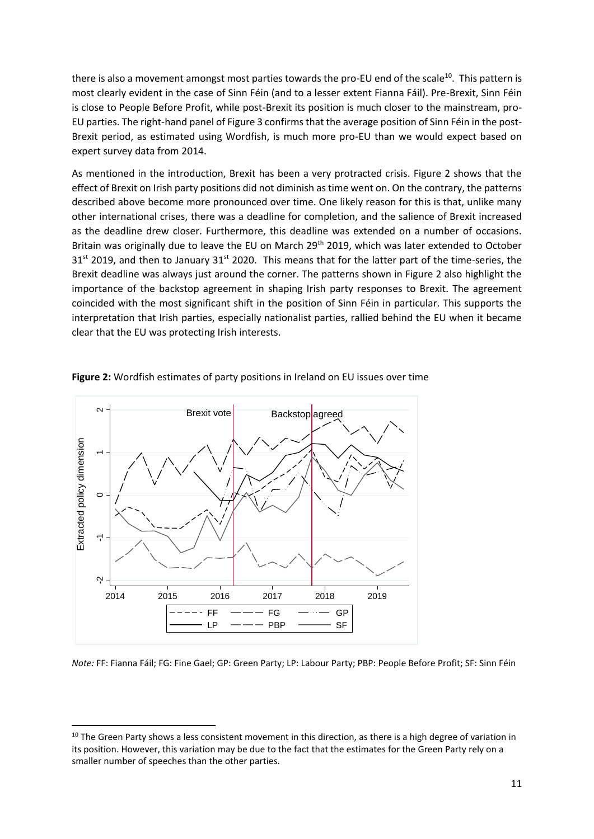there is also a movement amongst most parties towards the pro-EU end of the scale<sup>10</sup>. This pattern is most clearly evident in the case of Sinn Féin (and to a lesser extent Fianna Fáil). Pre-Brexit, Sinn Féin is close to People Before Profit, while post-Brexit its position is much closer to the mainstream, pro-EU parties. The right-hand panel of Figure 3 confirms that the average position of Sinn Féin in the post-Brexit period, as estimated using Wordfish, is much more pro-EU than we would expect based on expert survey data from 2014.

As mentioned in the introduction, Brexit has been a very protracted crisis. Figure 2 shows that the effect of Brexit on Irish party positions did not diminish as time went on. On the contrary, the patterns described above become more pronounced over time. One likely reason for this is that, unlike many other international crises, there was a deadline for completion, and the salience of Brexit increased as the deadline drew closer. Furthermore, this deadline was extended on a number of occasions. Britain was originally due to leave the EU on March 29<sup>th</sup> 2019, which was later extended to October  $31<sup>st</sup>$  2019, and then to January 31<sup>st</sup> 2020. This means that for the latter part of the time-series, the Brexit deadline was always just around the corner. The patterns shown in Figure 2 also highlight the importance of the backstop agreement in shaping Irish party responses to Brexit. The agreement coincided with the most significant shift in the position of Sinn Féin in particular. This supports the interpretation that Irish parties, especially nationalist parties, rallied behind the EU when it became clear that the EU was protecting Irish interests.



**.** 

**Figure 2:** Wordfish estimates of party positions in Ireland on EU issues over time

*Note:* FF: Fianna Fáil; FG: Fine Gael; GP: Green Party; LP: Labour Party; PBP: People Before Profit; SF: Sinn Féin

<sup>&</sup>lt;sup>10</sup> The Green Party shows a less consistent movement in this direction, as there is a high degree of variation in its position. However, this variation may be due to the fact that the estimates for the Green Party rely on a smaller number of speeches than the other parties.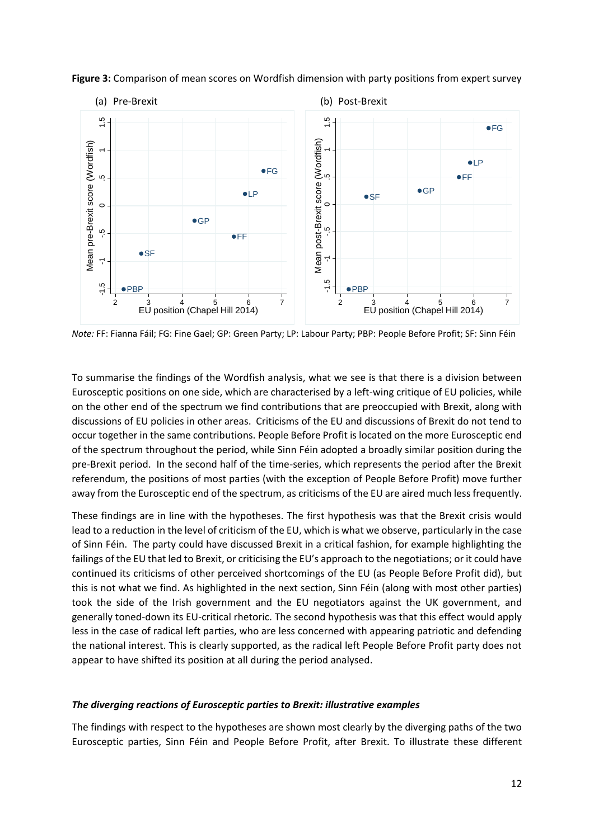

**Figure 3:** Comparison of mean scores on Wordfish dimension with party positions from expert survey

*Note:* FF: Fianna Fáil; FG: Fine Gael; GP: Green Party; LP: Labour Party; PBP: People Before Profit; SF: Sinn Féin

To summarise the findings of the Wordfish analysis, what we see is that there is a division between Eurosceptic positions on one side, which are characterised by a left-wing critique of EU policies, while on the other end of the spectrum we find contributions that are preoccupied with Brexit, along with discussions of EU policies in other areas. Criticisms of the EU and discussions of Brexit do not tend to occur together in the same contributions. People Before Profit is located on the more Eurosceptic end of the spectrum throughout the period, while Sinn Féin adopted a broadly similar position during the pre-Brexit period. In the second half of the time-series, which represents the period after the Brexit referendum, the positions of most parties (with the exception of People Before Profit) move further away from the Eurosceptic end of the spectrum, as criticisms of the EU are aired much less frequently.

These findings are in line with the hypotheses. The first hypothesis was that the Brexit crisis would lead to a reduction in the level of criticism of the EU, which is what we observe, particularly in the case of Sinn Féin. The party could have discussed Brexit in a critical fashion, for example highlighting the failings of the EU that led to Brexit, or criticising the EU's approach to the negotiations; or it could have continued its criticisms of other perceived shortcomings of the EU (as People Before Profit did), but this is not what we find. As highlighted in the next section, Sinn Féin (along with most other parties) took the side of the Irish government and the EU negotiators against the UK government, and generally toned-down its EU-critical rhetoric. The second hypothesis was that this effect would apply less in the case of radical left parties, who are less concerned with appearing patriotic and defending the national interest. This is clearly supported, as the radical left People Before Profit party does not appear to have shifted its position at all during the period analysed.

# *The diverging reactions of Eurosceptic parties to Brexit: illustrative examples*

The findings with respect to the hypotheses are shown most clearly by the diverging paths of the two Eurosceptic parties, Sinn Féin and People Before Profit, after Brexit. To illustrate these different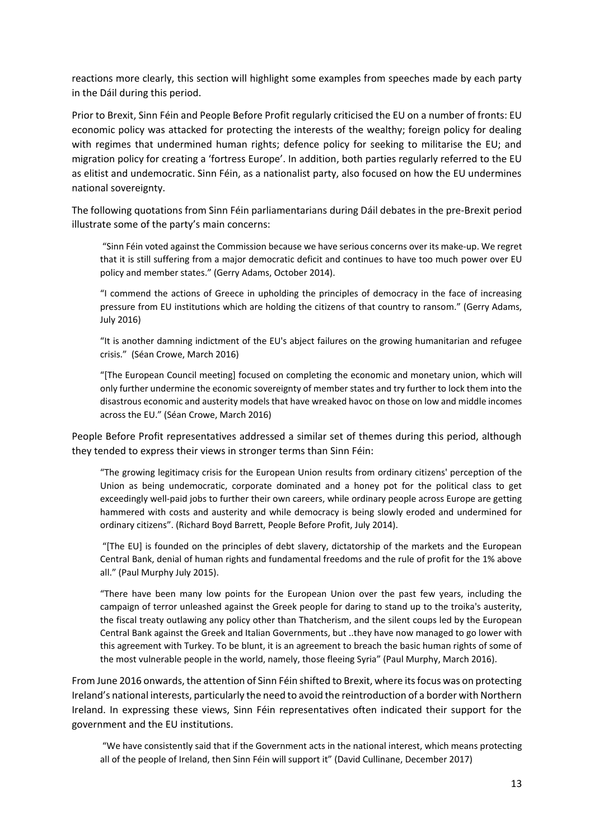reactions more clearly, this section will highlight some examples from speeches made by each party in the Dáil during this period.

Prior to Brexit, Sinn Féin and People Before Profit regularly criticised the EU on a number of fronts: EU economic policy was attacked for protecting the interests of the wealthy; foreign policy for dealing with regimes that undermined human rights; defence policy for seeking to militarise the EU; and migration policy for creating a 'fortress Europe'. In addition, both parties regularly referred to the EU as elitist and undemocratic. Sinn Féin, as a nationalist party, also focused on how the EU undermines national sovereignty.

The following quotations from Sinn Féin parliamentarians during Dáil debates in the pre-Brexit period illustrate some of the party's main concerns:

"Sinn Féin voted against the Commission because we have serious concerns over its make-up. We regret that it is still suffering from a major democratic deficit and continues to have too much power over EU policy and member states." (Gerry Adams, October 2014).

"I commend the actions of Greece in upholding the principles of democracy in the face of increasing pressure from EU institutions which are holding the citizens of that country to ransom." (Gerry Adams, July 2016)

"It is another damning indictment of the EU's abject failures on the growing humanitarian and refugee crisis." (Séan Crowe, March 2016)

"[The European Council meeting] focused on completing the economic and monetary union, which will only further undermine the economic sovereignty of member states and try further to lock them into the disastrous economic and austerity models that have wreaked havoc on those on low and middle incomes across the EU." (Séan Crowe, March 2016)

People Before Profit representatives addressed a similar set of themes during this period, although they tended to express their views in stronger terms than Sinn Féin:

"The growing legitimacy crisis for the European Union results from ordinary citizens' perception of the Union as being undemocratic, corporate dominated and a honey pot for the political class to get exceedingly well-paid jobs to further their own careers, while ordinary people across Europe are getting hammered with costs and austerity and while democracy is being slowly eroded and undermined for ordinary citizens". (Richard Boyd Barrett, People Before Profit, July 2014).

"[The EU] is founded on the principles of debt slavery, dictatorship of the markets and the European Central Bank, denial of human rights and fundamental freedoms and the rule of profit for the 1% above all." (Paul Murphy July 2015).

"There have been many low points for the European Union over the past few years, including the campaign of terror unleashed against the Greek people for daring to stand up to the troika's austerity, the fiscal treaty outlawing any policy other than Thatcherism, and the silent coups led by the European Central Bank against the Greek and Italian Governments, but ..they have now managed to go lower with this agreement with Turkey. To be blunt, it is an agreement to breach the basic human rights of some of the most vulnerable people in the world, namely, those fleeing Syria" (Paul Murphy, March 2016).

From June 2016 onwards, the attention of Sinn Féin shifted to Brexit, where its focus was on protecting Ireland's national interests, particularly the need to avoid the reintroduction of a border with Northern Ireland. In expressing these views, Sinn Féin representatives often indicated their support for the government and the EU institutions.

"We have consistently said that if the Government acts in the national interest, which means protecting all of the people of Ireland, then Sinn Féin will support it" (David Cullinane, December 2017)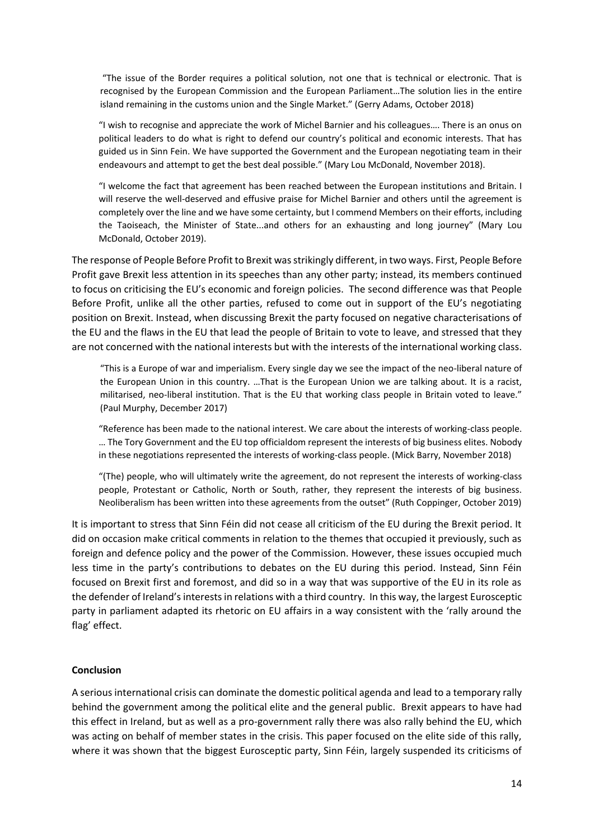"The issue of the Border requires a political solution, not one that is technical or electronic. That is recognised by the European Commission and the European Parliament…The solution lies in the entire island remaining in the customs union and the Single Market." (Gerry Adams, October 2018)

"I wish to recognise and appreciate the work of Michel Barnier and his colleagues…. There is an onus on political leaders to do what is right to defend our country's political and economic interests. That has guided us in Sinn Fein. We have supported the Government and the European negotiating team in their endeavours and attempt to get the best deal possible." (Mary Lou McDonald, November 2018).

"I welcome the fact that agreement has been reached between the European institutions and Britain. I will reserve the well-deserved and effusive praise for Michel Barnier and others until the agreement is completely over the line and we have some certainty, but I commend Members on their efforts, including the Taoiseach, the Minister of State...and others for an exhausting and long journey" (Mary Lou McDonald, October 2019).

The response of People Before Profit to Brexit was strikingly different, in two ways. First, People Before Profit gave Brexit less attention in its speeches than any other party; instead, its members continued to focus on criticising the EU's economic and foreign policies. The second difference was that People Before Profit, unlike all the other parties, refused to come out in support of the EU's negotiating position on Brexit. Instead, when discussing Brexit the party focused on negative characterisations of the EU and the flaws in the EU that lead the people of Britain to vote to leave, and stressed that they are not concerned with the national interests but with the interests of the international working class.

"This is a Europe of war and imperialism. Every single day we see the impact of the neo-liberal nature of the European Union in this country. …That is the European Union we are talking about. It is a racist, militarised, neo-liberal institution. That is the EU that working class people in Britain voted to leave." (Paul Murphy, December 2017)

"Reference has been made to the national interest. We care about the interests of working-class people. … The Tory Government and the EU top officialdom represent the interests of big business elites. Nobody in these negotiations represented the interests of working-class people. (Mick Barry, November 2018)

"(The) people, who will ultimately write the agreement, do not represent the interests of working-class people, Protestant or Catholic, North or South, rather, they represent the interests of big business. Neoliberalism has been written into these agreements from the outset" (Ruth Coppinger, October 2019)

It is important to stress that Sinn Féin did not cease all criticism of the EU during the Brexit period. It did on occasion make critical comments in relation to the themes that occupied it previously, such as foreign and defence policy and the power of the Commission. However, these issues occupied much less time in the party's contributions to debates on the EU during this period. Instead, Sinn Féin focused on Brexit first and foremost, and did so in a way that was supportive of the EU in its role as the defender of Ireland's interests in relations with a third country. In this way, the largest Eurosceptic party in parliament adapted its rhetoric on EU affairs in a way consistent with the 'rally around the flag' effect.

# **Conclusion**

A serious international crisis can dominate the domestic political agenda and lead to a temporary rally behind the government among the political elite and the general public. Brexit appears to have had this effect in Ireland, but as well as a pro-government rally there was also rally behind the EU, which was acting on behalf of member states in the crisis. This paper focused on the elite side of this rally, where it was shown that the biggest Eurosceptic party, Sinn Féin, largely suspended its criticisms of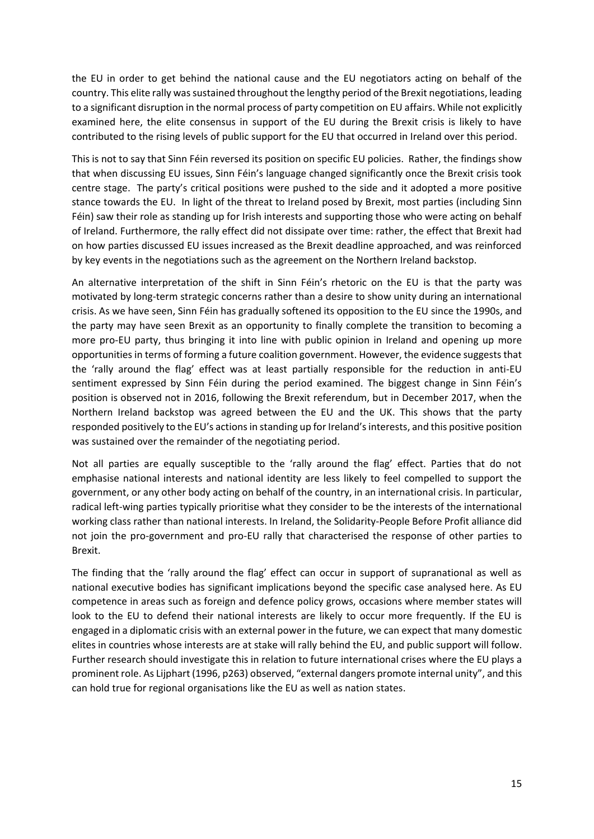the EU in order to get behind the national cause and the EU negotiators acting on behalf of the country. This elite rally was sustained throughout the lengthy period of the Brexit negotiations, leading to a significant disruption in the normal process of party competition on EU affairs. While not explicitly examined here, the elite consensus in support of the EU during the Brexit crisis is likely to have contributed to the rising levels of public support for the EU that occurred in Ireland over this period.

This is not to say that Sinn Féin reversed its position on specific EU policies. Rather, the findings show that when discussing EU issues, Sinn Féin's language changed significantly once the Brexit crisis took centre stage. The party's critical positions were pushed to the side and it adopted a more positive stance towards the EU. In light of the threat to Ireland posed by Brexit, most parties (including Sinn Féin) saw their role as standing up for Irish interests and supporting those who were acting on behalf of Ireland. Furthermore, the rally effect did not dissipate over time: rather, the effect that Brexit had on how parties discussed EU issues increased as the Brexit deadline approached, and was reinforced by key events in the negotiations such as the agreement on the Northern Ireland backstop.

An alternative interpretation of the shift in Sinn Féin's rhetoric on the EU is that the party was motivated by long-term strategic concerns rather than a desire to show unity during an international crisis. As we have seen, Sinn Féin has gradually softened its opposition to the EU since the 1990s, and the party may have seen Brexit as an opportunity to finally complete the transition to becoming a more pro-EU party, thus bringing it into line with public opinion in Ireland and opening up more opportunities in terms of forming a future coalition government. However, the evidence suggests that the 'rally around the flag' effect was at least partially responsible for the reduction in anti-EU sentiment expressed by Sinn Féin during the period examined. The biggest change in Sinn Féin's position is observed not in 2016, following the Brexit referendum, but in December 2017, when the Northern Ireland backstop was agreed between the EU and the UK. This shows that the party responded positively to the EU's actions in standing up for Ireland's interests, and this positive position was sustained over the remainder of the negotiating period.

Not all parties are equally susceptible to the 'rally around the flag' effect. Parties that do not emphasise national interests and national identity are less likely to feel compelled to support the government, or any other body acting on behalf of the country, in an international crisis. In particular, radical left-wing parties typically prioritise what they consider to be the interests of the international working class rather than national interests. In Ireland, the Solidarity-People Before Profit alliance did not join the pro-government and pro-EU rally that characterised the response of other parties to Brexit.

The finding that the 'rally around the flag' effect can occur in support of supranational as well as national executive bodies has significant implications beyond the specific case analysed here. As EU competence in areas such as foreign and defence policy grows, occasions where member states will look to the EU to defend their national interests are likely to occur more frequently. If the EU is engaged in a diplomatic crisis with an external power in the future, we can expect that many domestic elites in countries whose interests are at stake will rally behind the EU, and public support will follow. Further research should investigate this in relation to future international crises where the EU plays a prominent role. As Lijphart (1996, p263) observed, "external dangers promote internal unity", and this can hold true for regional organisations like the EU as well as nation states.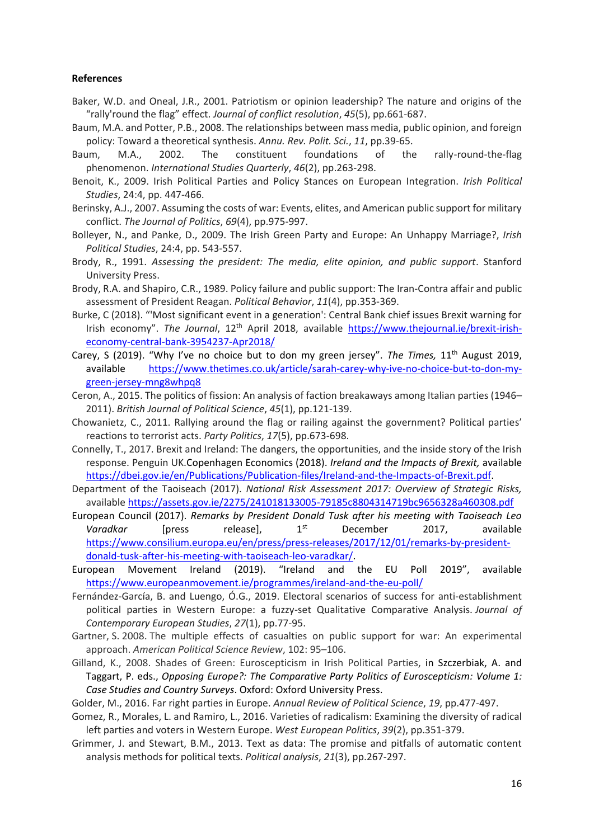### **References**

- Baker, W.D. and Oneal, J.R., 2001. Patriotism or opinion leadership? The nature and origins of the "rally'round the flag" effect. *Journal of conflict resolution*, *45*(5), pp.661-687.
- Baum, M.A. and Potter, P.B., 2008. The relationships between mass media, public opinion, and foreign policy: Toward a theoretical synthesis. *Annu. Rev. Polit. Sci.*, *11*, pp.39-65.
- Baum, M.A., 2002. The constituent foundations of the rally-round-the-flag phenomenon. *International Studies Quarterly*, *46*(2), pp.263-298.
- Benoit, K., 2009. Irish Political Parties and Policy Stances on European Integration. *Irish Political Studies*, 24:4, pp. 447-466.
- Berinsky, A.J., 2007. Assuming the costs of war: Events, elites, and American public support for military conflict. *The Journal of Politics*, *69*(4), pp.975-997.
- Bolleyer, N., and Panke, D., 2009. The Irish Green Party and Europe: An Unhappy Marriage?, *Irish Political Studies*, 24:4, pp. 543-557.
- Brody, R., 1991. *Assessing the president: The media, elite opinion, and public support*. Stanford University Press.
- Brody, R.A. and Shapiro, C.R., 1989. Policy failure and public support: The Iran-Contra affair and public assessment of President Reagan. *Political Behavior*, *11*(4), pp.353-369.
- Burke, C (2018). "'Most significant event in a generation': Central Bank chief issues Brexit warning for Irish economy". *The Journal*, 12<sup>th</sup> April 2018, available [https://www.thejournal.ie/brexit-irish](https://www.thejournal.ie/brexit-irish-economy-central-bank-3954237-Apr2018/)[economy-central-bank-3954237-Apr2018/](https://www.thejournal.ie/brexit-irish-economy-central-bank-3954237-Apr2018/)
- Carey, S (2019). "Why I've no choice but to don my green jersey". *The Times,* 11th August 2019, available [https://www.thetimes.co.uk/article/sarah-carey-why-ive-no-choice-but-to-don-my](https://www.thetimes.co.uk/article/sarah-carey-why-ive-no-choice-but-to-don-my-green-jersey-mng8whpq8)[green-jersey-mng8whpq8](https://www.thetimes.co.uk/article/sarah-carey-why-ive-no-choice-but-to-don-my-green-jersey-mng8whpq8)
- Ceron, A., 2015. The politics of fission: An analysis of faction breakaways among Italian parties (1946– 2011). *British Journal of Political Science*, *45*(1), pp.121-139.
- Chowanietz, C., 2011. Rallying around the flag or railing against the government? Political parties' reactions to terrorist acts. *Party Politics*, *17*(5), pp.673-698.
- Connelly, T., 2017. Brexit and Ireland: The dangers, the opportunities, and the inside story of the Irish response. Penguin UK.Copenhagen Economics (2018). *Ireland and the Impacts of Brexit,* available [https://dbei.gov.ie/en/Publications/Publication-files/Ireland-and-the-Impacts-of-Brexit.pdf.](https://dbei.gov.ie/en/Publications/Publication-files/Ireland-and-the-Impacts-of-Brexit.pdf)
- Department of the Taoiseach (2017). *National Risk Assessment 2017: Overview of Strategic Risks,*  available<https://assets.gov.ie/2275/241018133005-79185c8804314719bc9656328a460308.pdf>
- European Council (2017). *Remarks by President Donald Tusk after his meeting with Taoiseach Leo*  Varadkar [press release], 1<sup>st</sup> December 2017, available [https://www.consilium.europa.eu/en/press/press-releases/2017/12/01/remarks-by-president](https://www.consilium.europa.eu/en/press/press-releases/2017/12/01/remarks-by-president-donald-tusk-after-his-meeting-with-taoiseach-leo-varadkar/)[donald-tusk-after-his-meeting-with-taoiseach-leo-varadkar/.](https://www.consilium.europa.eu/en/press/press-releases/2017/12/01/remarks-by-president-donald-tusk-after-his-meeting-with-taoiseach-leo-varadkar/)
- European Movement Ireland (2019). "Ireland and the EU Poll 2019", available <https://www.europeanmovement.ie/programmes/ireland-and-the-eu-poll/>
- Fernández-García, B. and Luengo, Ó.G., 2019. Electoral scenarios of success for anti-establishment political parties in Western Europe: a fuzzy-set Qualitative Comparative Analysis. *Journal of Contemporary European Studies*, *27*(1), pp.77-95.
- Gartner, S. 2008. The multiple effects of casualties on public support for war: An experimental approach. *American Political Science Review*, 102: 95–106.
- Gilland, K., 2008. Shades of Green: Euroscepticism in Irish Political Parties, in Szczerbiak, A. and Taggart, P. eds., *Opposing Europe?: The Comparative Party Politics of Euroscepticism: Volume 1: Case Studies and Country Surveys*. Oxford: Oxford University Press.

Golder, M., 2016. Far right parties in Europe. *Annual Review of Political Science*, *19*, pp.477-497.

- Gomez, R., Morales, L. and Ramiro, L., 2016. Varieties of radicalism: Examining the diversity of radical left parties and voters in Western Europe. *West European Politics*, *39*(2), pp.351-379.
- Grimmer, J. and Stewart, B.M., 2013. Text as data: The promise and pitfalls of automatic content analysis methods for political texts. *Political analysis*, *21*(3), pp.267-297.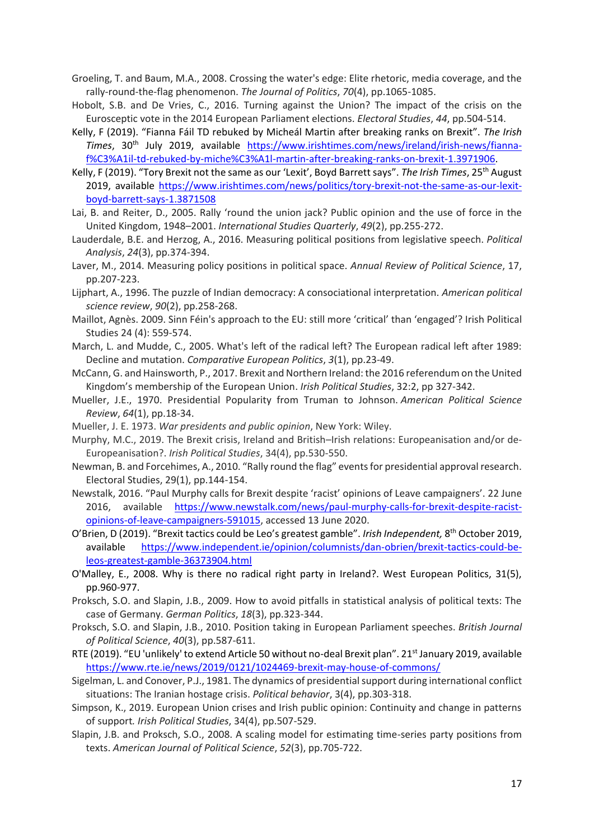Groeling, T. and Baum, M.A., 2008. Crossing the water's edge: Elite rhetoric, media coverage, and the rally-round-the-flag phenomenon. *The Journal of Politics*, *70*(4), pp.1065-1085.

- Hobolt, S.B. and De Vries, C., 2016. Turning against the Union? The impact of the crisis on the Eurosceptic vote in the 2014 European Parliament elections. *Electoral Studies*, *44*, pp.504-514.
- Kelly, F (2019). "Fianna Fáil TD rebuked by Micheál Martin after breaking ranks on Brexit". *The Irish Times*, 30th July 2019, available [https://www.irishtimes.com/news/ireland/irish-news/fianna](https://www.irishtimes.com/news/ireland/irish-news/fianna-f%C3%A1il-td-rebuked-by-miche%C3%A1l-martin-after-breaking-ranks-on-brexit-1.3971906)[f%C3%A1il-td-rebuked-by-miche%C3%A1l-martin-after-breaking-ranks-on-brexit-1.3971906.](https://www.irishtimes.com/news/ireland/irish-news/fianna-f%C3%A1il-td-rebuked-by-miche%C3%A1l-martin-after-breaking-ranks-on-brexit-1.3971906)
- Kelly, F (2019). "Tory Brexit not the same as our 'Lexit', Boyd Barrett says". *The Irish Times*, 25th August 2019, available [https://www.irishtimes.com/news/politics/tory-brexit-not-the-same-as-our-lexit](https://www.irishtimes.com/news/politics/tory-brexit-not-the-same-as-our-lexit-boyd-barrett-says-1.3871508)[boyd-barrett-says-1.3871508](https://www.irishtimes.com/news/politics/tory-brexit-not-the-same-as-our-lexit-boyd-barrett-says-1.3871508)
- Lai, B. and Reiter, D., 2005. Rally 'round the union jack? Public opinion and the use of force in the United Kingdom, 1948–2001. *International Studies Quarterly*, *49*(2), pp.255-272.
- Lauderdale, B.E. and Herzog, A., 2016. Measuring political positions from legislative speech. *Political Analysis*, *24*(3), pp.374-394.
- Laver, M., 2014. Measuring policy positions in political space. *Annual Review of Political Science*, 17, pp.207-223.
- Lijphart, A., 1996. The puzzle of Indian democracy: A consociational interpretation. *American political science review*, *90*(2), pp.258-268.
- Maillot, Agnès. 2009. Sinn Féin's approach to the EU: still more 'critical' than 'engaged'? Irish Political Studies 24 (4): 559-574.
- March, L. and Mudde, C., 2005. What's left of the radical left? The European radical left after 1989: Decline and mutation. *Comparative European Politics*, *3*(1), pp.23-49.
- McCann, G. and Hainsworth, P., 2017. Brexit and Northern Ireland: the 2016 referendum on the United Kingdom's membership of the European Union. *Irish Political Studies*, 32:2, pp 327-342.
- Mueller, J.E., 1970. Presidential Popularity from Truman to Johnson. *American Political Science Review*, *64*(1), pp.18-34.
- Mueller, J. E. 1973. *War presidents and public opinion*, New York: Wiley.
- Murphy, M.C., 2019. The Brexit crisis, Ireland and British–Irish relations: Europeanisation and/or de-Europeanisation?. *Irish Political Studies*, 34(4), pp.530-550.
- Newman, B. and Forcehimes, A., 2010. "Rally round the flag" events for presidential approval research. Electoral Studies, 29(1), pp.144-154.
- Newstalk, 2016. "Paul Murphy calls for Brexit despite 'racist' opinions of Leave campaigners'. 22 June 2016, available [https://www.newstalk.com/news/paul-murphy-calls-for-brexit-despite-racist](https://www.newstalk.com/news/paul-murphy-calls-for-brexit-despite-racist-opinions-of-leave-campaigners-591015)[opinions-of-leave-campaigners-591015,](https://www.newstalk.com/news/paul-murphy-calls-for-brexit-despite-racist-opinions-of-leave-campaigners-591015) accessed 13 June 2020.
- O'Brien, D (2019). "Brexit tactics could be Leo's greatest gamble". *Irish Independent, 8<sup>th</sup> October 2019*, available [https://www.independent.ie/opinion/columnists/dan-obrien/brexit-tactics-could-be](https://www.independent.ie/opinion/columnists/dan-obrien/brexit-tactics-could-be-leos-greatest-gamble-36373904.html)[leos-greatest-gamble-36373904.html](https://www.independent.ie/opinion/columnists/dan-obrien/brexit-tactics-could-be-leos-greatest-gamble-36373904.html)
- O'Malley, E., 2008. Why is there no radical right party in Ireland?. West European Politics, 31(5), pp.960-977.
- Proksch, S.O. and Slapin, J.B., 2009. How to avoid pitfalls in statistical analysis of political texts: The case of Germany. *German Politics*, *18*(3), pp.323-344.
- Proksch, S.O. and Slapin, J.B., 2010. Position taking in European Parliament speeches. *British Journal of Political Science*, *40*(3), pp.587-611.
- RTE (2019). "EU 'unlikely' to extend Article 50 without no-deal Brexit plan". 21<sup>st</sup> January 2019, available <https://www.rte.ie/news/2019/0121/1024469-brexit-may-house-of-commons/>
- Sigelman, L. and Conover, P.J., 1981. The dynamics of presidential support during international conflict situations: The Iranian hostage crisis. *Political behavior*, 3(4), pp.303-318.
- Simpson, K., 2019. European Union crises and Irish public opinion: Continuity and change in patterns of support*. Irish Political Studies*, 34(4), pp.507-529.
- Slapin, J.B. and Proksch, S.O., 2008. A scaling model for estimating time‐series party positions from texts. *American Journal of Political Science*, *52*(3), pp.705-722.